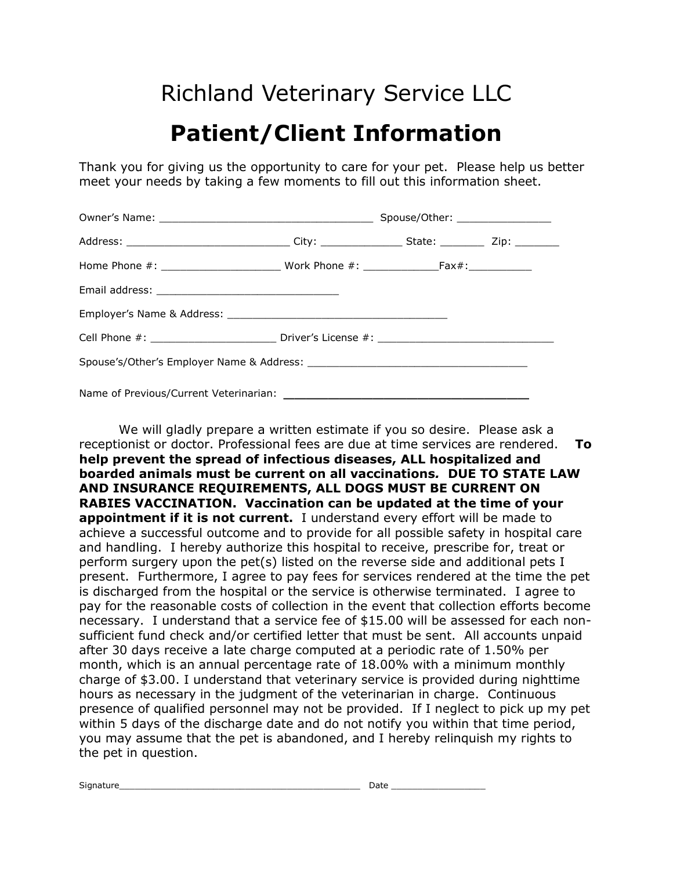## Richland Veterinary Service LLC

## **Patient/Client Information**

Thank you for giving us the opportunity to care for your pet. Please help us better meet your needs by taking a few moments to fill out this information sheet.

|                                                                                                      | Spouse/Other: _________________ |  |  |  |  |  |  |  |
|------------------------------------------------------------------------------------------------------|---------------------------------|--|--|--|--|--|--|--|
|                                                                                                      |                                 |  |  |  |  |  |  |  |
|                                                                                                      |                                 |  |  |  |  |  |  |  |
|                                                                                                      |                                 |  |  |  |  |  |  |  |
|                                                                                                      |                                 |  |  |  |  |  |  |  |
| Cell Phone #: _________________________________Driver's License #: _________________________________ |                                 |  |  |  |  |  |  |  |
|                                                                                                      |                                 |  |  |  |  |  |  |  |
|                                                                                                      |                                 |  |  |  |  |  |  |  |

We will gladly prepare a written estimate if you so desire. Please ask a receptionist or doctor. Professional fees are due at time services are rendered. **To help prevent the spread of infectious diseases, ALL hospitalized and boarded animals must be current on all vaccinations***.* **DUE TO STATE LAW AND INSURANCE REQUIREMENTS, ALL DOGS MUST BE CURRENT ON RABIES VACCINATION. Vaccination can be updated at the time of your appointment if it is not current.** I understand every effort will be made to achieve a successful outcome and to provide for all possible safety in hospital care and handling. I hereby authorize this hospital to receive, prescribe for, treat or perform surgery upon the pet(s) listed on the reverse side and additional pets I present. Furthermore, I agree to pay fees for services rendered at the time the pet is discharged from the hospital or the service is otherwise terminated. I agree to pay for the reasonable costs of collection in the event that collection efforts become necessary. I understand that a service fee of \$15.00 will be assessed for each nonsufficient fund check and/or certified letter that must be sent. All accounts unpaid after 30 days receive a late charge computed at a periodic rate of 1.50% per month, which is an annual percentage rate of 18.00% with a minimum monthly charge of \$3.00. I understand that veterinary service is provided during nighttime hours as necessary in the judgment of the veterinarian in charge. Continuous presence of qualified personnel may not be provided. If I neglect to pick up my pet within 5 days of the discharge date and do not notify you within that time period, you may assume that the pet is abandoned, and I hereby relinquish my rights to the pet in question.

Signature\_\_\_\_\_\_\_\_\_\_\_\_\_\_\_\_\_\_\_\_\_\_\_\_\_\_\_\_\_\_\_\_\_\_\_\_\_\_\_\_\_\_\_\_\_\_ Date \_\_\_\_\_\_\_\_\_\_\_\_\_\_\_\_\_\_